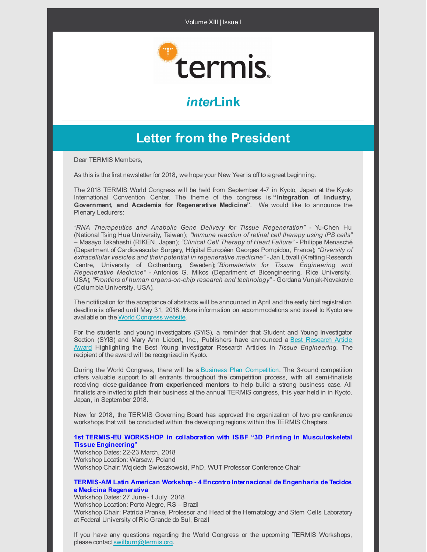

# *inter***Link**

### **Letter from the President**

Dear TERMIS Members,

As this is the first newsletter for 2018, we hope your New Year is off to a great beginning.

The 2018 TERMIS World Congress will be held from September 4-7 in Kyoto, Japan at the Kyoto International Convention Center. The theme of the congress is **"Integration of Industry, Government, and Academia for Regenerative Medicine"**. We would like to announce the Plenary Lecturers:

*"RNA Therapeutics and Anabolic Gene Delivery for Tissue Regeneration"* - Yu-Chen Hu (National Tsing Hua University, Taiwan); *"Immune reaction of retinal cell therapy using iPS cells"* – Masayo Takahashi (RIKEN, Japan); *"Clinical Cell Therapy of Heart Failure"* - Philippe Menasché (Department of Cardiovascular Surgery, Hôpital Européen Georges Pompidou, France); *"Diversity of extracellular vesicles and their potential in regenerative medicine"* -Jan Lötvall (Krefting Research Centre, University of Gothenburg, Sweden); *"Biomaterials for Tissue Engineering and Regenerative Medicine"* - Antonios G. Mikos (Department of Bioengineering, Rice University, USA); *"Frontiers of human organs-on-chip research and technology"* - Gordana Vunjak-Novakovic (Columbia University, USA).

The notification for the acceptance of abstracts will be announced in April and the early bird registration deadline is offered until May 31, 2018. More information on accommodations and travel to Kyoto are available on the World [Congress](https://www.termis.org/wc2018/index.php) website.

For the students and young investigators (SYIS), a reminder that Student and Young Investigator Section (SYIS) and Mary Ann Liebert, Inc., Publishers have announced a Best Research Article Award Highlighting the Best Young Investigator Research Articles in *Tissue [Engineering.](https://www.termis.org/wc2018/syis.php)* The recipient of the award will be recognized in Kyoto.

During the World Congress, there will be a Business Plan Competition. The 3-round competition offers valuable support to all entrants throughout the competition process, with all semi-finalists receiving close **guidance from experienced mentors** to help build a strong business case. All finalists are invited to pitch their business at the annual TERMIS congress, this year held in in Kyoto, Japan, in September 2018.

New for 2018, the TERMIS Governing Board has approved the organization of two pre conference workshops that will be conducted within the developing regions within the TERMIS Chapters.

#### **1st TERMIS-EU WORKSHOP in collaboration with ISBF "3D Printing in [Musculoskeletal](http://eu-workshop-2018.termis.org/) Tissue Engineering"**

Workshop Dates: 22-23 March, 2018 Workshop Location: Warsaw, Poland Workshop Chair: Wojciech Swieszkowski, PhD, WUT Professor Conference Chair

#### **TERMIS-AM Latin American Workshop - 4 Encontro [Internacional](http://termisamerica2018.com.br/) de Engenharia de Tecidos e Medicina Regenerativa**

Workshop Dates: 27 June - 1 July, 2018 Workshop Location: Porto Alegre, RS – Brazil Workshop Chair: Patricia Pranke, Professor and Head of the Hematology and Stem Cells Laboratory at Federal University of Rio Grande do Sul, Brazil

If you have any questions regarding the World Congress or the upcoming TERMIS Workshops, please contact [swilburn@termis.org](mailto:swilburn@termis.org).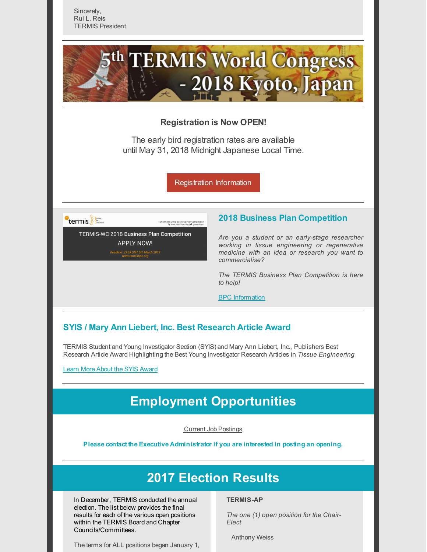

### **Registration is Now OPEN!**

The early bird registration rates are available until May 31, 2018 Midnight Japanese Local Time.

[Registration](https://www.termis.org/wc2018/registration.php) Information

 $\mathsf{T}$ termis

**TERMIS-WC 2018 Business Plan Competition APPLY NOW!** 3:59 GMT 5th March 2018

### **2018 Business Plan Competition**

*Are you a student or an early-stage researcher working in tissue engineering or regenerative medicine with an idea or research you want to commercialise?*

*The TERMIS Business Plan Competition is here to help!*

BPC [Information](https://www.termis.org/wc2018/bpc.php)

### **SYIS / Mary Ann Liebert, Inc. Best Research Article Award**

TERMIS Student and Young Investigator Section (SYIS) and Mary Ann Liebert, Inc., Publishers Best Research Article Award Highlighting the Best Young Investigator Research Articles in *Tissue Engineering*

Learn More About the SYIS [Award](https://www.termis.org/wc2018/syis.php)

### **Employment Opportunities**

Current Job [Postings](https://www.termis.org/employment.php)

**Please contact the Executive Administrator if you are interested in posting an opening.**

### **2017 Election Results**

In December, TERMIS conducted the annual election. The list below provides the final results for each of the various open positions within the TERMIS Board and Chapter Councils/Committees.

The terms for ALL positions began January 1,

#### **TERMIS-AP**

*The one (1) open position for the Chair-Elect*

Anthony Weiss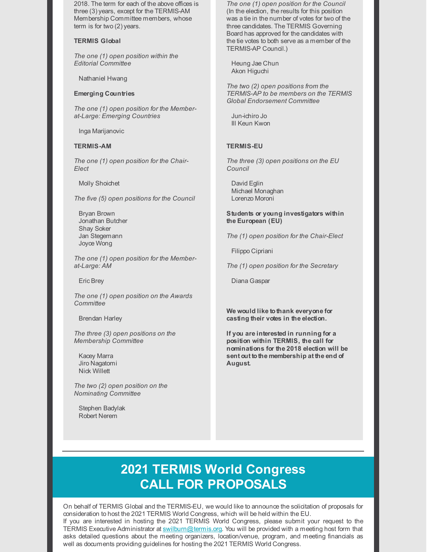2018. The term for each of the above offices is three (3)years, except for the TERMIS-AM Membership Committee members, whose term is for two  $(2)$  years.

#### **TERMIS Global**

*The one (1) open position within the Editorial Committee*

Nathaniel Hwang

#### **Emerging Countries**

*The one (1) open position for the Memberat-Large: Emerging Countries*

Inga Marijanovic

#### **TERMIS-AM**

*The one (1) open position for the Chair-Elect*

Molly Shoichet

*The five (5) open positions for the Council*

Bryan Brown Jonathan Butcher Shay Soker Jan Stegemann Joyce Wong

*The one (1) open position for the Memberat-Large: AM*

Eric Brey

*The one (1) open position on the Awards Committee*

Brendan Harley

*The three (3) open positions on the Membership Committee*

Kacey Marra Jiro Nagatomi Nick Willett

*The two (2) open position on the Nominating Committee*

Stephen Badylak Robert Nerem

*The one (1) open position for the Council* (In the election, the results for this position was a tie in the number of votes for two of the three candidates. The TERMIS Governing Board has approved for the candidates with the tie votes to both serve as a member of the TERMIS-AP Council.)

Heung Jae Chun Akon Higuchi

*The two (2) open positions from the TERMIS-AP to be members on the TERMIS Global Endorsement Committee*

Jun-ichiro Jo Ill Keun Kwon

#### **TERMIS-EU**

*The three (3) open positions on the EU Council*

David Eglin Michael Monaghan Lorenzo Moroni

#### **Students or young investigators within the European (EU)**

*The (1) open position for the Chair-Elect*

Filippo Cipriani

*The (1) open position for the Secretary*

Diana Gaspar

**We would like tothank everyone for casting their votes in the election.**

**If you are interested in running for a position within TERMIS, the call for nominations for the 2018 election will be sent out tothe membership at the end of August.**

# **2021 TERMIS World Congress CALL FOR PROPOSALS**

On behalf of TERMIS Global and the TERMIS-EU, we would like to announce the solicitation of proposals for consideration to host the 2021 TERMIS World Congress, which will be held within the EU. If you are interested in hosting the 2021 TERMIS World Congress, please submit your request to the TERMIS Executive Administrator at swilburn@termis.org. You will be provided with a meeting host form that

asks detailed questions about the meeting organizers, location/venue, program, and meeting financials as

well as documents providing guidelines for hosting the 2021 TERMIS World Congress.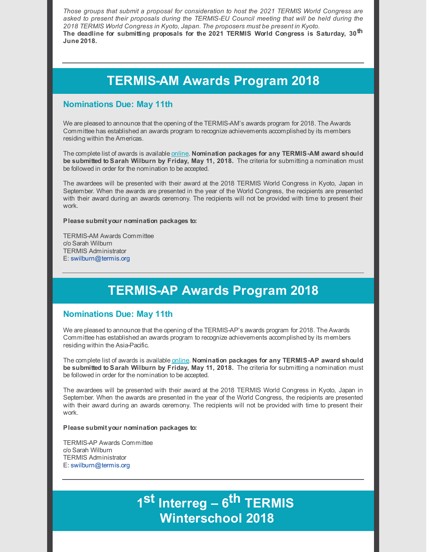*Those groups that submit a proposal for consideration to host the 2021 TERMIS World Congress are asked to present their proposals during the TERMIS-EU Council meeting that will be held during the 2018 TERMIS World Congress in Kyoto, Japan. The proposers must be present in Kyoto.* **The deadline for submitting proposals for the 2021 TERMIS World Congress is Saturday, 30 th June 2018.**

### **TERMIS-AM Awards Program 2018**

### **Nominations Due: May 11th**

We are pleased to announce that the opening of the TERMIS-AM's awards program for 2018. The Awards Committee has established an awards program to recognize achievements accomplished by its members residing within the Americas.

The complete list of awards is available [online](http://www.termis.org/chapters_na_awards.php). **Nomination packages for any TERMIS-AM award should be submitted to Sarah Wilburn by Friday, May 11, 2018.** The criteria for submitting a nomination must be followed in order for the nomination to be accepted.

The awardees will be presented with their award at the 2018 TERMIS World Congress in Kyoto, Japan in September. When the awards are presented in the year of the World Congress, the recipients are presented with their award during an awards ceremony. The recipients will not be provided with time to present their work.

#### **Please submit your nomination packages to:**

TERMIS-AM Awards Committee c/o Sarah Wilburn TERMIS Administrator E: [swilburn@termis.org](mailto:swilburn@termis.org)

# **TERMIS-AP Awards Program 2018**

### **Nominations Due: May 11th**

We are pleased to announce that the opening of the TERMIS-AP's awards program for 2018. The Awards Committee has established an awards program to recognize achievements accomplished by its members residing within the Asia-Pacific.

The complete list of awards is available [online](https://www.termis.org/chapters_ap_awards.php). **Nomination packages for any TERMIS-AP award should be submitted to Sarah Wilburn by Friday, May 11, 2018.** The criteria for submitting a nomination must be followed in order for the nomination to be accepted.

The awardees will be presented with their award at the 2018 TERMIS World Congress in Kyoto, Japan in September. When the awards are presented in the year of the World Congress, the recipients are presented with their award during an awards ceremony. The recipients will not be provided with time to present their work.

#### **Please submit your nomination packages to:**

TERMIS-AP Awards Committee c/o Sarah Wilburn TERMIS Administrator E: [swilburn@termis.org](mailto:swilburn@termis.org)

# **1 st Interreg – 6 th TERMIS Winterschool 2018**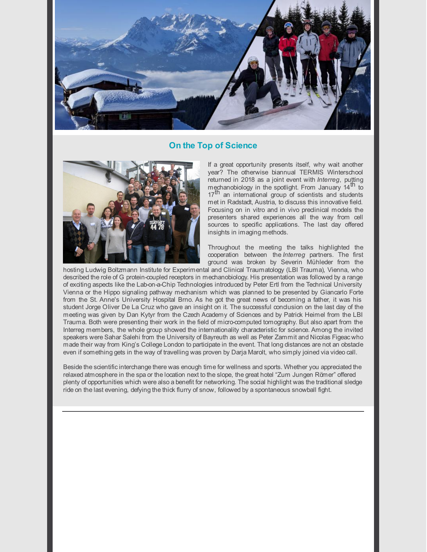

### **On the Top of Science**



If a great opportunity presents itself, why wait another year? The otherwise biannual TERMIS Winterschool returned in 2018 as a joint event with *Interreg*, putting mechanobiology in the spotlight. From January  $14^{\text{th}}$  to 17<sup>th</sup> an international group of scientists and students met in Radstadt, Austria, to discuss this innovative field. Focusing on in vitro and in vivo preclinical models the presenters shared experiences all the way from cell sources to specific applications. The last day offered insights in imaging methods.

Throughout the meeting the talks highlighted the cooperation between the *Interreg* partners. The first ground was broken by Severin Mühleder from the

hosting Ludwig Boltzmann Institute for Experimental and Clinical Traumatology (LBI Trauma), Vienna, who described the role of G protein-coupled receptors in mechanobiology. His presentation was followed by a range of exciting aspects like the Lab-on-a-Chip Technologies introduced by Peter Ertl from the Technical University Vienna or the Hippo signaling pathway mechanism which was planned to be presented by Giancarlo Forte from the St. Anne's University Hospital Brno. As he got the great news of becoming a father, it was his student Jorge Oliver De La Cruz who gave an insight on it. The successful conclusion on the last day of the meeting was given by Dan Kytyr from the Czech Academy of Sciences and by Patrick Heimel from the LBI Trauma. Both were presenting their work in the field of micro-computed tomography. But also apart from the Interreg members, the whole group showed the internationality characteristic for science. Among the invited speakers were Sahar Salehi from the University of Bayreuth as well as Peter Zammit and Nicolas Figeac who made their way from King's College London to participate in the event. That long distances are not an obstacle even if something gets in the way of travelling was proven by Darja Marolt, who simply joined via video call.

Beside the scientificinterchange there was enough time for wellness and sports. Whether you appreciated the relaxed atmosphere in the spa or the location next to the slope, the great hotel "Zum Jungen Römer" offered plenty of opportunities which were also a benefit for networking. The social highlight was the traditional sledge ride on the last evening, defying the thick flurry of snow, followed by a spontaneous snowball fight.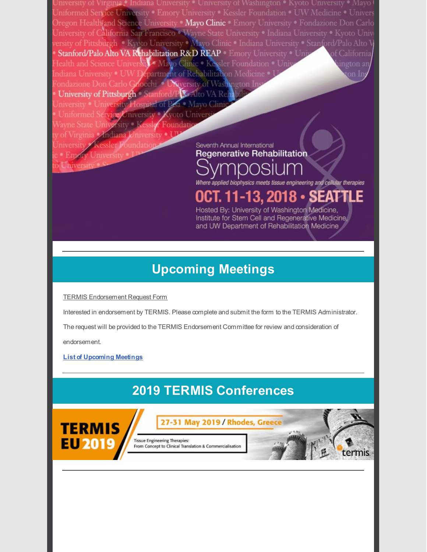University • University of Washington • Kyoto University • Mayo I Iniformed Service University • Emory University • Kessler Foundation • UW Medicine • University Dregon Health/and Science University Mayo Clinic Emory University • Fondazione Don Carlo Iniversity of California San Francisco • Wayne State University • Indiana University • Kyoto Univ ersity of Pittsburgh . Kyoto University . Mayo Clinic . Indiana University . Stanford/Palo Alto V Stanford/Palo Alto VA Rehabilitation R&D REAP Emory University . Unj f California Jealth and Science University Mayo Clinic . Kessler Foundation . Univ ngton an ndiana University . UW Department of Rehabilitation Medicine . Condazione Don Carlo Goocchi . UNiversity of Washington In University of Pittsburgh Stanford/PV SAlto VA Reha Iniversity . University Hospital of PAa . Mayo Clinic Uniformed Service University • Kyoto Univers Vayne State University Kessler Foundation of Virginia Andiana University . U

Seventh Annual International

**Regenerative Rehabilitation** 

and UW Department of Rehabilitation Medicine

Universit Where applied biophysics meets tissue engineering and cellular therapies OCT. 11-13, 201 Hosted By: University of Washington Medicine, Institute for Stem Cell and Regenerative Medicine.

# **Upcoming Meetings**

TERMIS [Endorsement](http://files.constantcontact.com/f365ec19601/8613f747-629b-4dcb-b7fd-b73a7d00878d.docx) Request Form

ersity Kessler Foundation

**Emory University** 

Interested in endorsement by TERMIS. Please complete and submit the form to the TERMIS Administrator.

The request will be provided to the TERMIS Endorsement Committee for review and consideration of

endorsement.

**List of [Upcoming](https://www.termis.org/meetings_upcoming.php) Meetings**

# **2019 TERMIS Conferences**